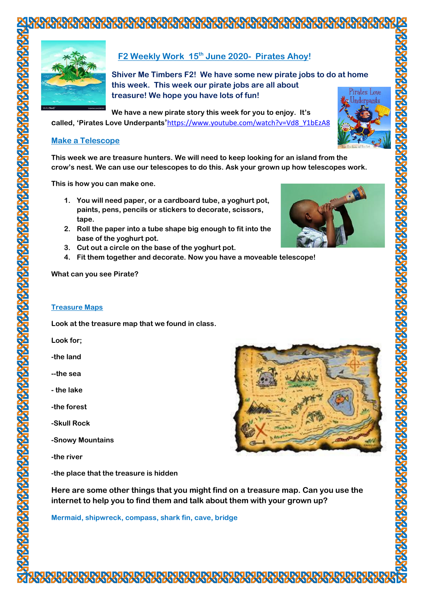

# **F2 Weekly Work 15th June 2020- Pirates Ahoy!**

**Shiver Me Timbers F2! We have some new pirate jobs to do at home this week. This week our pirate jobs are all about treasure! We hope you have lots of fun!**

**We have a new pirate story this week for you to enjoy. It's called, 'Pirates Love Underpants'**[https://www.youtube.com/watch?v=Vd8\\_Y1bEzA8](https://www.youtube.com/watch?v=Vd8_Y1bEzA8)



#### **Make a Telescope**

**This week we are treasure hunters. We will need to keep looking for an island from the crow's nest. We can use our telescopes to do this. Ask your grown up how telescopes work.**

**This is how you can make one.**

- **1. You will need paper, or a cardboard tube, a yoghurt pot, paints, pens, pencils or stickers to decorate, scissors, tape.**
- **2. Roll the paper into a tube shape big enough to fit into the base of the yoghurt pot.**
- **3. Cut out a circle on the base of the yoghurt pot.**
- **4. Fit them together and decorate. Now you have a moveable telescope!**

**What can you see Pirate?**

#### **Treasure Maps**

**Look at the treasure map that we found in class.** 

**Look for;**

- **-the land**
- **--the sea**
- **- the lake**
- **-the forest**
- **-Skull Rock**
- **-Snowy Mountains**
- **-the river**

**-the place that the treasure is hidden**



**Here are some other things that you might find on a treasure map. Can you use the internet to help you to find them and talk about them with your grown up?**

**Mermaid, shipwreck, compass, shark fin, cave, bridge**